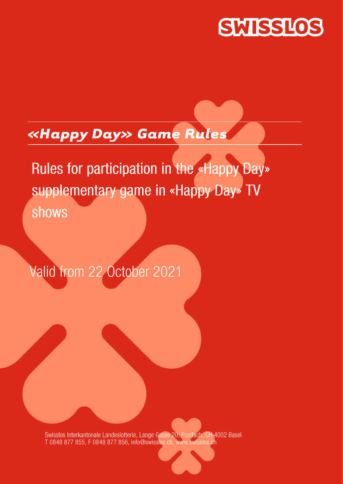

# *«Happy Day» Game Rules*

Rules for participation in the «Happy Day» supplementary game in «Happy Day» TV shows

Valid from 22 October 2021

Swisslos Interkantonale Landeslotterie, Lange Gasse 20, Postfach, CH-4002 Basel T 0848 877 855, F 0848 877 856, info@swisslos.ch, www.swisslos.ch

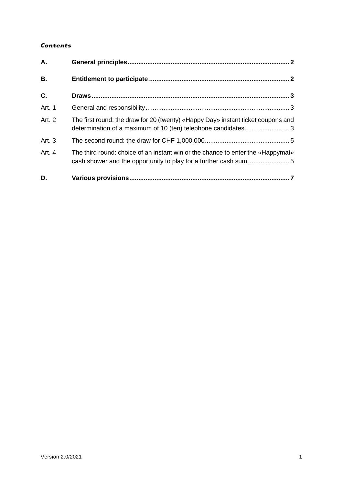## *Contents*

| A.        |                                                                                                                                                  |
|-----------|--------------------------------------------------------------------------------------------------------------------------------------------------|
| <b>B.</b> |                                                                                                                                                  |
| C.        |                                                                                                                                                  |
| Art. 1    |                                                                                                                                                  |
| Art. 2    | The first round: the draw for 20 (twenty) «Happy Day» instant ticket coupons and<br>determination of a maximum of 10 (ten) telephone candidates3 |
| Art. 3    |                                                                                                                                                  |
| Art. 4    | The third round: choice of an instant win or the chance to enter the «Happymat»                                                                  |
| D.        |                                                                                                                                                  |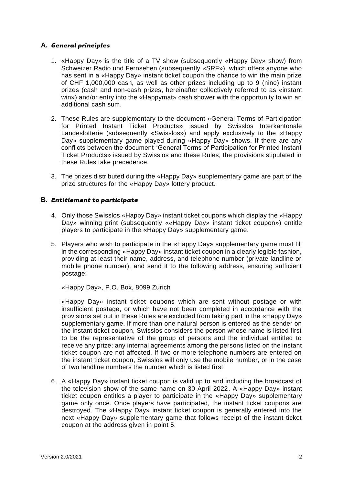## <span id="page-2-0"></span>**A.** *General principles*

- 1. «Happy Day» is the title of a TV show (subsequently «Happy Day» show) from Schweizer Radio und Fernsehen (subsequently «SRF»), which offers anyone who has sent in a «Happy Day» instant ticket coupon the chance to win the main prize of CHF 1,000,000 cash, as well as other prizes including up to 9 (nine) instant prizes (cash and non-cash prizes, hereinafter collectively referred to as «instant win») and/or entry into the «Happymat» cash shower with the opportunity to win an additional cash sum.
- 2. These Rules are supplementary to the document «General Terms of Participation for Printed Instant Ticket Products» issued by Swisslos Interkantonale Landeslotterie (subsequently «Swisslos») and apply exclusively to the «Happy Day» supplementary game played during «Happy Day» shows. If there are any conflicts between the document "General Terms of Participation for Printed Instant Ticket Products» issued by Swisslos and these Rules, the provisions stipulated in these Rules take precedence.
- 3. The prizes distributed during the «Happy Day» supplementary game are part of the prize structures for the «Happy Day» lottery product.

#### <span id="page-2-1"></span>**B.** *Entitlement to participate*

- 4. Only those Swisslos «Happy Day» instant ticket coupons which display the «Happy Day» winning print (subsequently ««Happy Day» instant ticket coupon») entitle players to participate in the «Happy Day» supplementary game.
- 5. Players who wish to participate in the «Happy Day» supplementary game must fill in the corresponding «Happy Day» instant ticket coupon in a clearly legible fashion, providing at least their name, address, and telephone number (private landline or mobile phone number), and send it to the following address, ensuring sufficient postage:

«Happy Day», P.O. Box, 8099 Zurich

«Happy Day» instant ticket coupons which are sent without postage or with insufficient postage, or which have not been completed in accordance with the provisions set out in these Rules are excluded from taking part in the «Happy Day» supplementary game. If more than one natural person is entered as the sender on the instant ticket coupon, Swisslos considers the person whose name is listed first to be the representative of the group of persons and the individual entitled to receive any prize; any internal agreements among the persons listed on the instant ticket coupon are not affected. If two or more telephone numbers are entered on the instant ticket coupon, Swisslos will only use the mobile number, or in the case of two landline numbers the number which is listed first.

6. A «Happy Day» instant ticket coupon is valid up to and including the broadcast of the television show of the same name on 30 April 2022. A «Happy Day» instant ticket coupon entitles a player to participate in the «Happy Day» supplementary game only once. Once players have participated, the instant ticket coupons are destroyed. The «Happy Day» instant ticket coupon is generally entered into the next «Happy Day» supplementary game that follows receipt of the instant ticket coupon at the address given in point 5.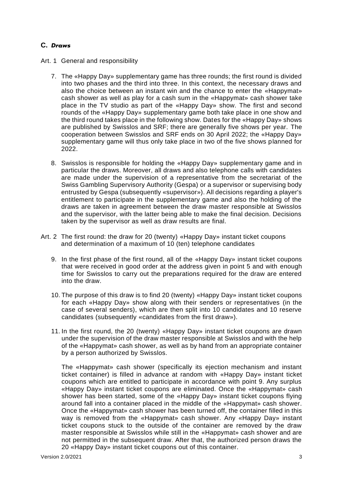# <span id="page-3-0"></span>**C.** *Draws*

- <span id="page-3-1"></span>Art. 1 General and responsibility
	- 7. The «Happy Day» supplementary game has three rounds; the first round is divided into two phases and the third into three. In this context, the necessary draws and also the choice between an instant win and the chance to enter the «Happymat» cash shower as well as play for a cash sum in the «Happymat» cash shower take place in the TV studio as part of the «Happy Day» show. The first and second rounds of the «Happy Day» supplementary game both take place in one show and the third round takes place in the following show. Dates for the «Happy Day» shows are published by Swisslos and SRF; there are generally five shows per year. The cooperation between Swisslos and SRF ends on 30 April 2022; the «Happy Day» supplementary game will thus only take place in two of the five shows planned for 2022.
	- 8. Swisslos is responsible for holding the «Happy Day» supplementary game and in particular the draws. Moreover, all draws and also telephone calls with candidates are made under the supervision of a representative from the secretariat of the Swiss Gambling Supervisory Authority (Gespa) or a supervisor or supervising body entrusted by Gespa (subsequently «supervisor»). All decisions regarding a player's entitlement to participate in the supplementary game and also the holding of the draws are taken in agreement between the draw master responsible at Swisslos and the supervisor, with the latter being able to make the final decision. Decisions taken by the supervisor as well as draw results are final.
- <span id="page-3-2"></span>Art. 2 The first round: the draw for 20 (twenty) «Happy Day» instant ticket coupons and determination of a maximum of 10 (ten) telephone candidates
	- 9. In the first phase of the first round, all of the «Happy Day» instant ticket coupons that were received in good order at the address given in point 5 and with enough time for Swisslos to carry out the preparations required for the draw are entered into the draw.
	- 10. The purpose of this draw is to find 20 (twenty) «Happy Day» instant ticket coupons for each «Happy Day» show along with their senders or representatives (in the case of several senders), which are then split into 10 candidates and 10 reserve candidates (subsequently «candidates from the first draw»).
	- 11. In the first round, the 20 (twenty) «Happy Day» instant ticket coupons are drawn under the supervision of the draw master responsible at Swisslos and with the help of the «Happymat» cash shower, as well as by hand from an appropriate container by a person authorized by Swisslos.

The «Happymat» cash shower (specifically its ejection mechanism and instant ticket container) is filled in advance at random with «Happy Day» instant ticket coupons which are entitled to participate in accordance with point 9. Any surplus «Happy Day» instant ticket coupons are eliminated. Once the «Happymat» cash shower has been started, some of the «Happy Day» instant ticket coupons flying around fall into a container placed in the middle of the «Happymat» cash shower. Once the «Happymat» cash shower has been turned off, the container filled in this way is removed from the «Happymat» cash shower. Any «Happy Day» instant ticket coupons stuck to the outside of the container are removed by the draw master responsible at Swisslos while still in the «Happymat» cash shower and are not permitted in the subsequent draw. After that, the authorized person draws the 20 «Happy Day» instant ticket coupons out of this container.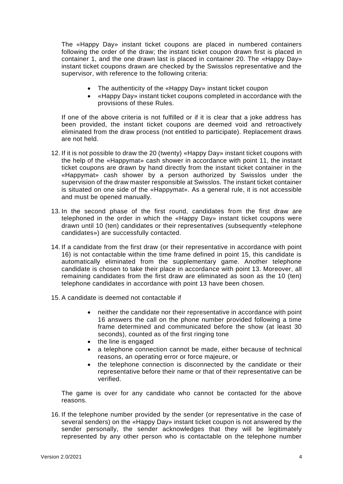The «Happy Day» instant ticket coupons are placed in numbered containers following the order of the draw; the instant ticket coupon drawn first is placed in container 1, and the one drawn last is placed in container 20. The «Happy Day» instant ticket coupons drawn are checked by the Swisslos representative and the supervisor, with reference to the following criteria:

- The authenticity of the «Happy Day» instant ticket coupon
- «Happy Day» instant ticket coupons completed in accordance with the provisions of these Rules.

If one of the above criteria is not fulfilled or if it is clear that a joke address has been provided, the instant ticket coupons are deemed void and retroactively eliminated from the draw process (not entitled to participate). Replacement draws are not held.

- 12. If it is not possible to draw the 20 (twenty) «Happy Day» instant ticket coupons with the help of the «Happymat» cash shower in accordance with point 11, the instant ticket coupons are drawn by hand directly from the instant ticket container in the «Happymat» cash shower by a person authorized by Swisslos under the supervision of the draw master responsible at Swisslos. The instant ticket container is situated on one side of the «Happymat». As a general rule, it is not accessible and must be opened manually.
- 13. In the second phase of the first round, candidates from the first draw are telephoned in the order in which the «Happy Day» instant ticket coupons were drawn until 10 (ten) candidates or their representatives (subsequently «telephone candidates») are successfully contacted.
- 14. If a candidate from the first draw (or their representative in accordance with point 16) is not contactable within the time frame defined in point 15, this candidate is automatically eliminated from the supplementary game. Another telephone candidate is chosen to take their place in accordance with point 13. Moreover, all remaining candidates from the first draw are eliminated as soon as the 10 (ten) telephone candidates in accordance with point 13 have been chosen.
- 15. A candidate is deemed not contactable if
	- neither the candidate nor their representative in accordance with point 16 answers the call on the phone number provided following a time frame determined and communicated before the show (at least 30 seconds), counted as of the first ringing tone
	- the line is engaged
	- a telephone connection cannot be made, either because of technical reasons, an operating error or force majeure, or
	- the telephone connection is disconnected by the candidate or their representative before their name or that of their representative can be verified.

The game is over for any candidate who cannot be contacted for the above reasons.

16. If the telephone number provided by the sender (or representative in the case of several senders) on the «Happy Day» instant ticket coupon is not answered by the sender personally, the sender acknowledges that they will be legitimately represented by any other person who is contactable on the telephone number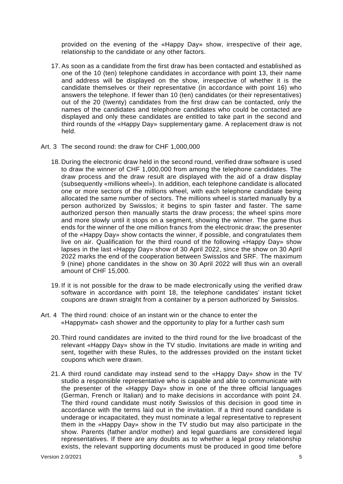provided on the evening of the «Happy Day» show, irrespective of their age, relationship to the candidate or any other factors.

- 17. As soon as a candidate from the first draw has been contacted and established as one of the 10 (ten) telephone candidates in accordance with point 13, their name and address will be displayed on the show, irrespective of whether it is the candidate themselves or their representative (in accordance with point 16) who answers the telephone. If fewer than 10 (ten) candidates (or their representatives) out of the 20 (twenty) candidates from the first draw can be contacted, only the names of the candidates and telephone candidates who could be contacted are displayed and only these candidates are entitled to take part in the second and third rounds of the «Happy Day» supplementary game. A replacement draw is not held.
- <span id="page-5-0"></span>Art. 3 The second round: the draw for CHF 1,000,000
	- 18. During the electronic draw held in the second round, verified draw software is used to draw the winner of CHF 1,000,000 from among the telephone candidates. The draw process and the draw result are displayed with the aid of a draw display (subsequently «millions wheel»). In addition, each telephone candidate is allocated one or more sectors of the millions wheel, with each telephone candidate being allocated the same number of sectors. The millions wheel is started manually by a person authorized by Swisslos; it begins to spin faster and faster. The same authorized person then manually starts the draw process; the wheel spins more and more slowly until it stops on a segment, showing the winner. The game thus ends for the winner of the one million francs from the electronic draw; the presenter of the «Happy Day» show contacts the winner, if possible, and congratulates them live on air. Qualification for the third round of the following «Happy Day» show lapses in the last «Happy Day» show of 30 April 2022, since the show on 30 April 2022 marks the end of the cooperation between Swisslos and SRF. The maximum 9 (nine) phone candidates in the show on 30 April 2022 will thus win an overall amount of CHF 15,000.
	- 19. If it is not possible for the draw to be made electronically using the verified draw software in accordance with point 18, the telephone candidates' instant ticket coupons are drawn straight from a container by a person authorized by Swisslos.
- <span id="page-5-1"></span>Art. 4 The third round: choice of an instant win or the chance to enter the «Happymat» cash shower and the opportunity to play for a further cash sum
	- 20. Third round candidates are invited to the third round for the live broadcast of the relevant «Happy Day» show in the TV studio. Invitations are made in writing and sent, together with these Rules, to the addresses provided on the instant ticket coupons which were drawn.
	- 21. A third round candidate may instead send to the «Happy Day» show in the TV studio a responsible representative who is capable and able to communicate with the presenter of the «Happy Day» show in one of the three official languages (German, French or Italian) and to make decisions in accordance with point 24. The third round candidate must notify Swisslos of this decision in good time in accordance with the terms laid out in the invitation. If a third round candidate is underage or incapacitated, they must nominate a legal representative to represent them in the «Happy Day» show in the TV studio but may also participate in the show. Parents (father and/or mother) and legal guardians are considered legal representatives. If there are any doubts as to whether a legal proxy relationship exists, the relevant supporting documents must be produced in good time before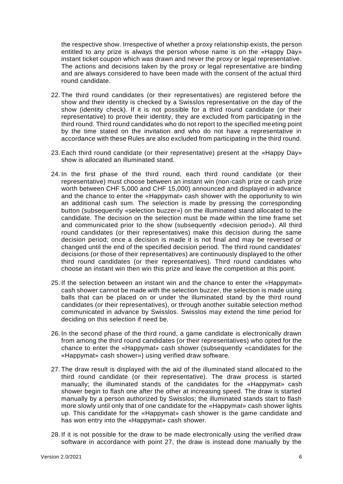the respective show. Irrespective of whether a proxy relationship exists, the person entitled to any prize is always the person whose name is on the «Happy Day» instant ticket coupon which was drawn and never the proxy or legal representative. The actions and decisions taken by the proxy or legal representative are binding and are always considered to have been made with the consent of the actual third round candidate.

- 22. The third round candidates (or their representatives) are registered before the show and their identity is checked by a Swisslos representative on the day of the show (identity check). If it is not possible for a third round candidate (or their representative) to prove their identity, they are excluded from participating in the third round. Third round candidates who do not report to the specified meeting point by the time stated on the invitation and who do not have a representative in accordance with these Rules are also excluded from participating in the third round.
- 23. Each third round candidate (or their representative) present at the «Happy Day» show is allocated an illuminated stand.
- 24. In the first phase of the third round, each third round candidate (or their representative) must choose between an instant win (non-cash prize or cash prize worth between CHF 5,000 and CHF 15,000) announced and displayed in advance and the chance to enter the «Happymat» cash shower with the opportunity to win an additional cash sum. The selection is made by pressing the corresponding button (subsequently «selection buzzer») on the illuminated stand allocated to the candidate. The decision on the selection must be made within the time frame set and communicated prior to the show (subsequently «decision period»). All third round candidates (or their representatives) make this decision during the same decision period; once a decision is made it is not final and may be reversed or changed until the end of the specified decision period. The third round candidates' decisions (or those of their representatives) are continuously displayed to the other third round candidates (or their representatives). Third round candidates who choose an instant win then win this prize and leave the competition at this point.
- 25. If the selection between an instant win and the chance to enter the «Happymat» cash shower cannot be made with the selection buzzer, the selection is made using balls that can be placed on or under the illuminated stand by the third round candidates (or their representatives), or through another suitable selection method communicated in advance by Swisslos. Swisslos may extend the time period for deciding on this selection if need be.
- 26. In the second phase of the third round, a game candidate is electronically drawn from among the third round candidates (or their representatives) who opted for the chance to enter the «Happymat» cash shower (subsequently «candidates for the «Happymat» cash shower») using verified draw software.
- 27. The draw result is displayed with the aid of the illuminated stand allocated to the third round candidate (or their representative). The draw process is started manually; the illuminated stands of the candidates for the «Happymat» cash shower begin to flash one after the other at increasing speed. The draw is started manually by a person authorized by Swisslos; the illuminated stands start to flash more slowly until only that of one candidate for the «Happymat» cash shower lights up. This candidate for the «Happymat» cash shower is the game candidate and has won entry into the «Happymat» cash shower.
- 28. If it is not possible for the draw to be made electronically using the verified draw software in accordance with point 27, the draw is instead done manually by the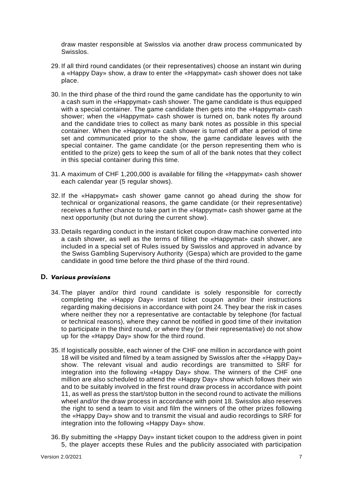draw master responsible at Swisslos via another draw process communicated by Swisslos.

- 29. If all third round candidates (or their representatives) choose an instant win during a «Happy Day» show, a draw to enter the «Happymat» cash shower does not take place.
- 30. In the third phase of the third round the game candidate has the opportunity to win a cash sum in the «Happymat» cash shower. The game candidate is thus equipped with a special container. The game candidate then gets into the «Happymat» cash shower; when the «Happymat» cash shower is turned on, bank notes fly around and the candidate tries to collect as many bank notes as possible in this special container. When the «Happymat» cash shower is turned off after a period of time set and communicated prior to the show, the game candidate leaves with the special container. The game candidate (or the person representing them who is entitled to the prize) gets to keep the sum of all of the bank notes that they collect in this special container during this time.
- 31. A maximum of CHF 1,200,000 is available for filling the «Happymat» cash shower each calendar year (5 regular shows).
- 32. If the «Happymat» cash shower game cannot go ahead during the show for technical or organizational reasons, the game candidate (or their representative) receives a further chance to take part in the «Happymat» cash shower game at the next opportunity (but not during the current show).
- 33. Details regarding conduct in the instant ticket coupon draw machine converted into a cash shower, as well as the terms of filling the «Happymat» cash shower, are included in a special set of Rules issued by Swisslos and approved in advance by the Swiss Gambling Supervisory Authority (Gespa) which are provided to the game candidate in good time before the third phase of the third round.

#### <span id="page-7-0"></span>**D.** *Various provisions*

- 34. The player and/or third round candidate is solely responsible for correctly completing the «Happy Day» instant ticket coupon and/or their instructions regarding making decisions in accordance with point 24. They bear the risk in cases where neither they nor a representative are contactable by telephone (for factual or technical reasons), where they cannot be notified in good time of their invitation to participate in the third round, or where they (or their representative) do not show up for the «Happy Day» show for the third round.
- 35. If logistically possible, each winner of the CHF one million in accordance with point 18 will be visited and filmed by a team assigned by Swisslos after the «Happy Day» show. The relevant visual and audio recordings are transmitted to SRF for integration into the following «Happy Day» show. The winners of the CHF one million are also scheduled to attend the «Happy Day» show which follows their win and to be suitably involved in the first round draw process in accordance with point 11, as well as press the start/stop button in the second round to activate the millions wheel and/or the draw process in accordance with point 18. Swisslos also reserves the right to send a team to visit and film the winners of the other prizes following the «Happy Day» show and to transmit the visual and audio recordings to SRF for integration into the following «Happy Day» show.
- 36. By submitting the «Happy Day» instant ticket coupon to the address given in point 5, the player accepts these Rules and the publicity associated with participation